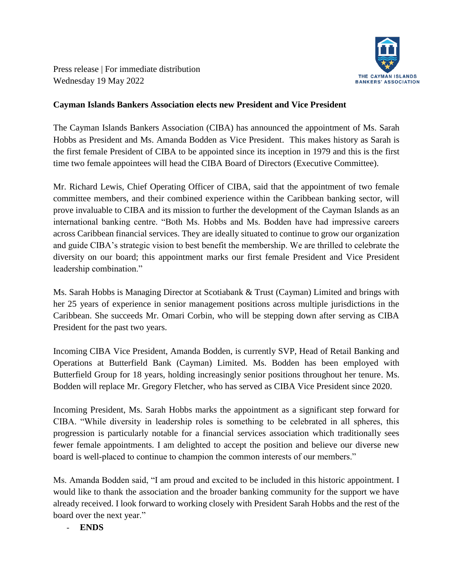

Press release | For immediate distribution Wednesday 19 May 2022

## **Cayman Islands Bankers Association elects new President and Vice President**

The Cayman Islands Bankers Association (CIBA) has announced the appointment of Ms. Sarah Hobbs as President and Ms. Amanda Bodden as Vice President. This makes history as Sarah is the first female President of CIBA to be appointed since its inception in 1979 and this is the first time two female appointees will head the CIBA Board of Directors (Executive Committee).

Mr. Richard Lewis, Chief Operating Officer of CIBA, said that the appointment of two female committee members, and their combined experience within the Caribbean banking sector, will prove invaluable to CIBA and its mission to further the development of the Cayman Islands as an international banking centre. "Both Ms. Hobbs and Ms. Bodden have had impressive careers across Caribbean financial services. They are ideally situated to continue to grow our organization and guide CIBA's strategic vision to best benefit the membership. We are thrilled to celebrate the diversity on our board; this appointment marks our first female President and Vice President leadership combination."

Ms. Sarah Hobbs is Managing Director at Scotiabank & Trust (Cayman) Limited and brings with her 25 years of experience in senior management positions across multiple jurisdictions in the Caribbean. She succeeds Mr. Omari Corbin, who will be stepping down after serving as CIBA President for the past two years.

Incoming CIBA Vice President, Amanda Bodden, is currently SVP, Head of Retail Banking and Operations at Butterfield Bank (Cayman) Limited. Ms. Bodden has been employed with Butterfield Group for 18 years, holding increasingly senior positions throughout her tenure. Ms. Bodden will replace Mr. Gregory Fletcher, who has served as CIBA Vice President since 2020.

Incoming President, Ms. Sarah Hobbs marks the appointment as a significant step forward for CIBA. "While diversity in leadership roles is something to be celebrated in all spheres, this progression is particularly notable for a financial services association which traditionally sees fewer female appointments. I am delighted to accept the position and believe our diverse new board is well-placed to continue to champion the common interests of our members."

Ms. Amanda Bodden said, "I am proud and excited to be included in this historic appointment. I would like to thank the association and the broader banking community for the support we have already received. I look forward to working closely with President Sarah Hobbs and the rest of the board over the next year."

- **ENDS**